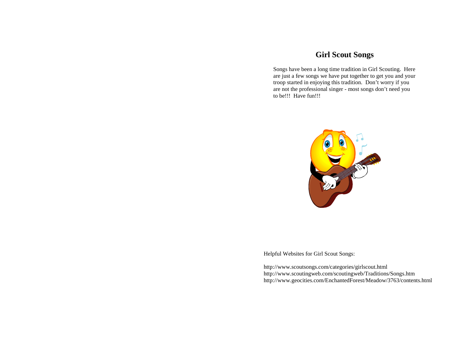# **Girl Scout Songs**

Songs have been a long time tradition in Girl Scouting. Here are just a few songs we have put together to get you and your troop started in enjoying this tradition. Don't worry if you are not the professional singer - most songs don't need you to be!!! Have fun!!!



Helpful Websites for Girl Scout Songs:

http://www.scoutsongs.com/categories/girlscout.html http://www.scoutingweb.com/scoutingweb/Traditions/Songs.htm http://www.geocities.com/EnchantedForest/Meadow/3763/contents.html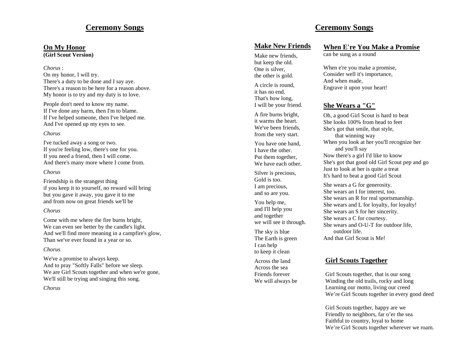### **Ceremony Songs**

# **On My Honor**

**(Girl Scout Version)**

*Chorus* :

On my honor, I will try. There's a duty to be done and I say aye. There's a reason to be here for a reason above. My honor is to try and my duty is to love.

People don't need to know my name. If I've done any harm, then I'm to blame. If I've helped someone, then I've helped me. And I've opened up my eyes to see.

#### *Chorus*

I've tucked away a song or two. If you're feeling low, there's one for you. If you need a friend, then I will come. And there's many more where I come from.

#### *Chorus*

Friendship is the strangest thing if you keep it to yourself, no reward will bring but you gave it away, you gave it to me and from now on great friends we'll be

#### *Chorus*

Come with me where the fire burns bright, We can even see better by the candle's light. And we'll find more meaning in a campfire's glow, Than we've ever found in a year or so.

#### *Chorus*

We've a promise to always keep. And to pray "Softly Falls" before we sleep. We are Girl Scouts together and when we're gone, We'll still be trying and singing this song.

#### *Chorus*

### **Make New Friends**

Make new friends, but keep the old. One is silver, the other is gold. A circle is round, it has no end.

That's how long, I will be your friend.

A fire burns bright, it warms the heart. We've been friends, from the very start.

You have one hand, I have the other. Put them together, We have each other.

Silver is precious, Gold is too. I am precious, and so are you.

You help me, and I'll help you and together we will see it through.

The sky is blue The Earth is green I can help to keep it clean

Across the land Across the sea Friends forever We will always be

### **When E're You Make a Promise**

can be sung as a round

**Ceremony Songs**

When e're you make a promise, Consider well it's importance, And when made, Engrave it upon your heart!

### **She Wears a "G"**

Oh, a good Girl Scout is hard to beat She looks 100% from head to feet She's got that smile, that style, that winning way When you look at her you'll recognize her and you'll say Now there's a girl I'd like to know She's got that good old Girl Scout pep and go Just to look at her is quite a treat It's hard to beat a good Girl Scout

She wears a G for generosity. She wears an I for interest, too. She wears an R for real sportsmanship. She wears and L for loyalty, for loyalty! She wears an S for her sincerity. She wears a C for courtesy. She wears and O - U -T for outdoor life, outdoor life. And that Girl Scout is Me!

### **Girl Scouts Together**

Girl Scouts together, that is our song Winding the old trails, rocky and long Learning our motto, living our creed We're Girl Scouts together in every good deed

Girl Scouts together, happy are we Friendly to neighbors, far o'er the sea Faithful to country, loyal to home We're Girl Scouts together wherever we roam.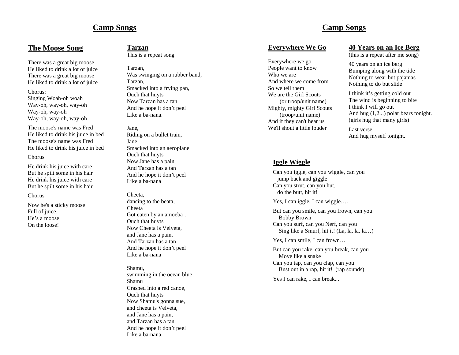# **Camp Songs**

### **The Moose Song**

There was a great big moose He liked to drink a lot of juice There was a great big moose He liked to drink a lot of juice

#### Chorus:

Singing Woah-oh woah Way-oh, way-oh, way-oh Way-oh, way-oh Way-oh, way-oh, way-oh

The moose's name was Fred He liked to drink his juice in bed The moose's name was Fred He liked to drink his juice in bed

#### Chorus

He drink his juice with care But he spilt some in his hair He drink his juice with care But he spilt some in his hair

#### Chorus

Now he's a sticky moose Full of juice. He's a moose On the loose!

### **Tarzan**

This is a repeat song

Tarzan, Was swinging on a rubber band, Tarzan, Smacked into a frying pan, Ouch that huyts Now Tarzan has a tan And he hope it don't peel Like a ba-nana.

Jane, Riding on a bullet train, Jane Smacked into an aeroplane Ouch that huyts Now Jane has a pain, And Tarzan has a tan And he hope it don't peel Like a ba-nana

#### Cheeta, dancing to the beata, Cheeta Got eaten by an amoeba , Ouch that huyts Now Cheeta is Velveta, and Jane has a pain, And Tarzan has a tan And he hope it don't peel Like a ba-nana

Shamu, swimming in the ocean blue, Shamu Crashed into a red canoe, Ouch that huyts Now Shamu's gonna sue, and cheeta is Velveta, and Jane has a pain, and Tarzan has a tan. And he hope it don't peel Like a ba-nana.

# **Camp Songs**

#### **Everywhere We Go**

Everywhere we go People want to know Who we are And where we come from So we tell them We are the Girl Scouts (or troop/unit name) Mighty, mighty Girl Scouts (troop/unit name) And if they can't hear us We'll shout a little louder

#### **40 Years on an Ice Berg**

(this is a repeat after me song)

40 years on an ice berg Bumping along with the tide Nothing to wear but pajamas Nothing to do but slide

I think it's getting cold out The wind is beginning to bite I think I will go out And hug (1,2...) polar bears tonight. (girls hug that many girls)

Last verse: And hug myself tonight.

#### **Iggle Wiggle**

Can you iggle, can you wiggle, can you jump back and giggle Can you strut, can you hut, do the butt, hit it!

Yes, I can iggle, I can wiggle....

But can you smile, can you frown, can you Bobby Brown Can you surf, can you Nerf, can you Sing like a Smurf, hit it! (La, la, la, la…)

Yes, I can smile, I can frown…

But can you rake, can you break, can you Move like a snake Can you tap, can you clap, can you Bust out in a rap, hit it! (rap sounds)

Yes I can rake, I can break...